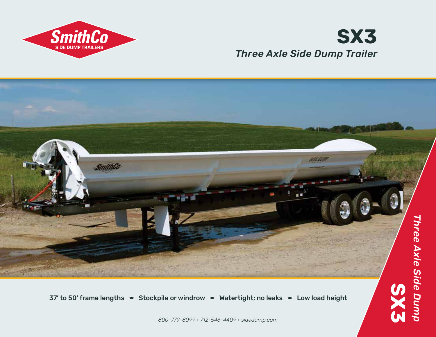

## *Three Axle Side Dump Trailer* **SX3**



37' to 50' frame lengths  $\div$  Stockpile or windrow  $\div$  Watertight; no leaks  $\div$  Low load height

*800-779-8099 • 712-546-4409 • sidedump.com*